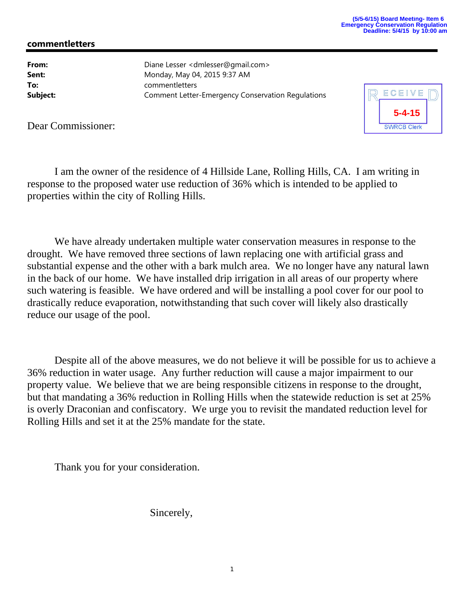## **commentletters**

**From:** Diane Lesser <dmlesser@gmail.com> **Sent:** Monday, May 04, 2015 9:37 AM **To:** commentletters **Subject:** Comment Letter-Emergency Conservation Regulations



Dear Commissioner:

I am the owner of the residence of 4 Hillside Lane, Rolling Hills, CA. I am writing in response to the proposed water use reduction of 36% which is intended to be applied to properties within the city of Rolling Hills.

We have already undertaken multiple water conservation measures in response to the drought. We have removed three sections of lawn replacing one with artificial grass and substantial expense and the other with a bark mulch area. We no longer have any natural lawn in the back of our home. We have installed drip irrigation in all areas of our property where such watering is feasible. We have ordered and will be installing a pool cover for our pool to drastically reduce evaporation, notwithstanding that such cover will likely also drastically reduce our usage of the pool.

Despite all of the above measures, we do not believe it will be possible for us to achieve a 36% reduction in water usage. Any further reduction will cause a major impairment to our property value. We believe that we are being responsible citizens in response to the drought, but that mandating a 36% reduction in Rolling Hills when the statewide reduction is set at 25% is overly Draconian and confiscatory. We urge you to revisit the mandated reduction level for Rolling Hills and set it at the 25% mandate for the state.

Thank you for your consideration.

Sincerely,